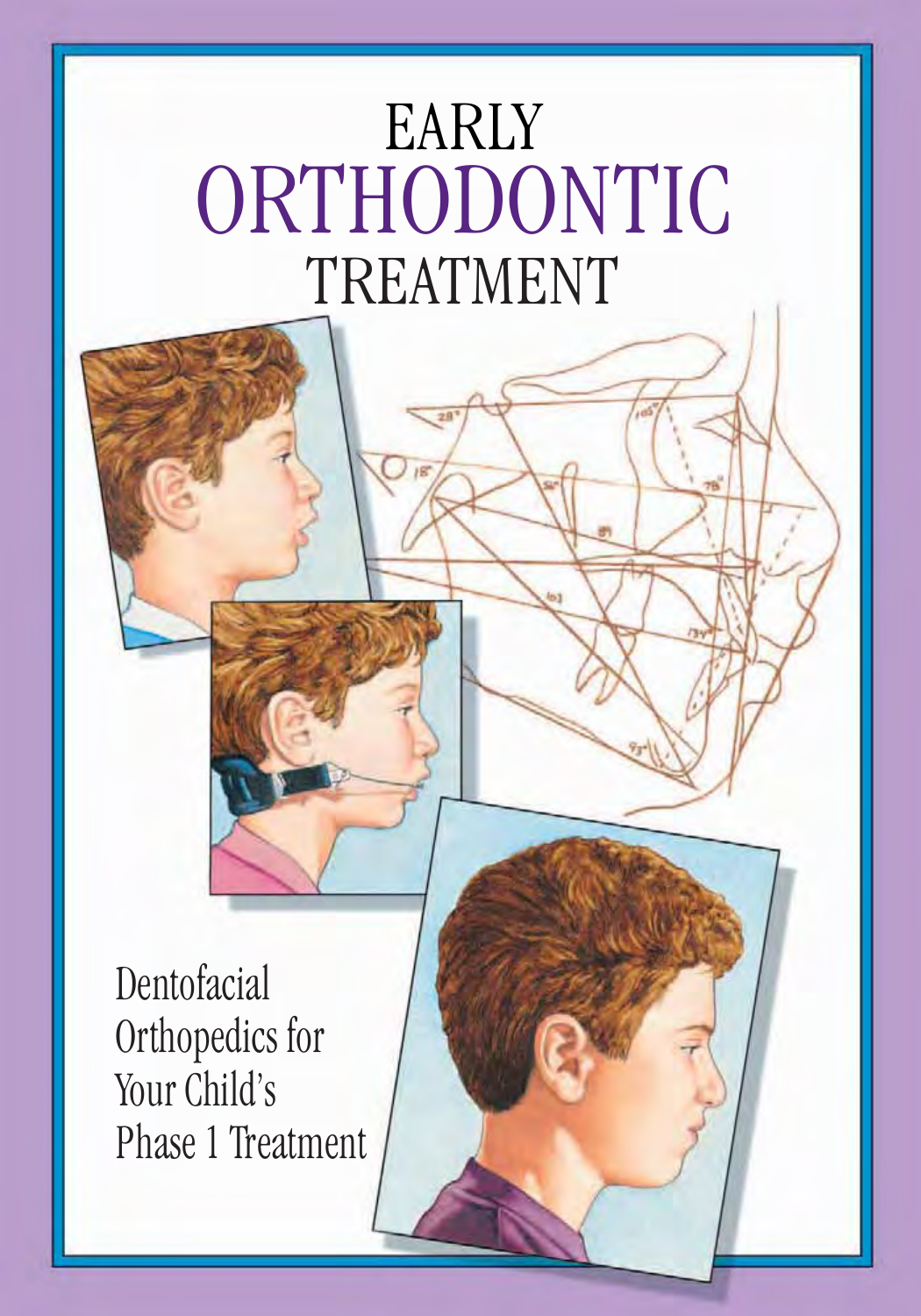# EARLY ORTHODONTIC TREATMENT

Dentofacial Orthopedics for Your Child's Phase 1 Treatment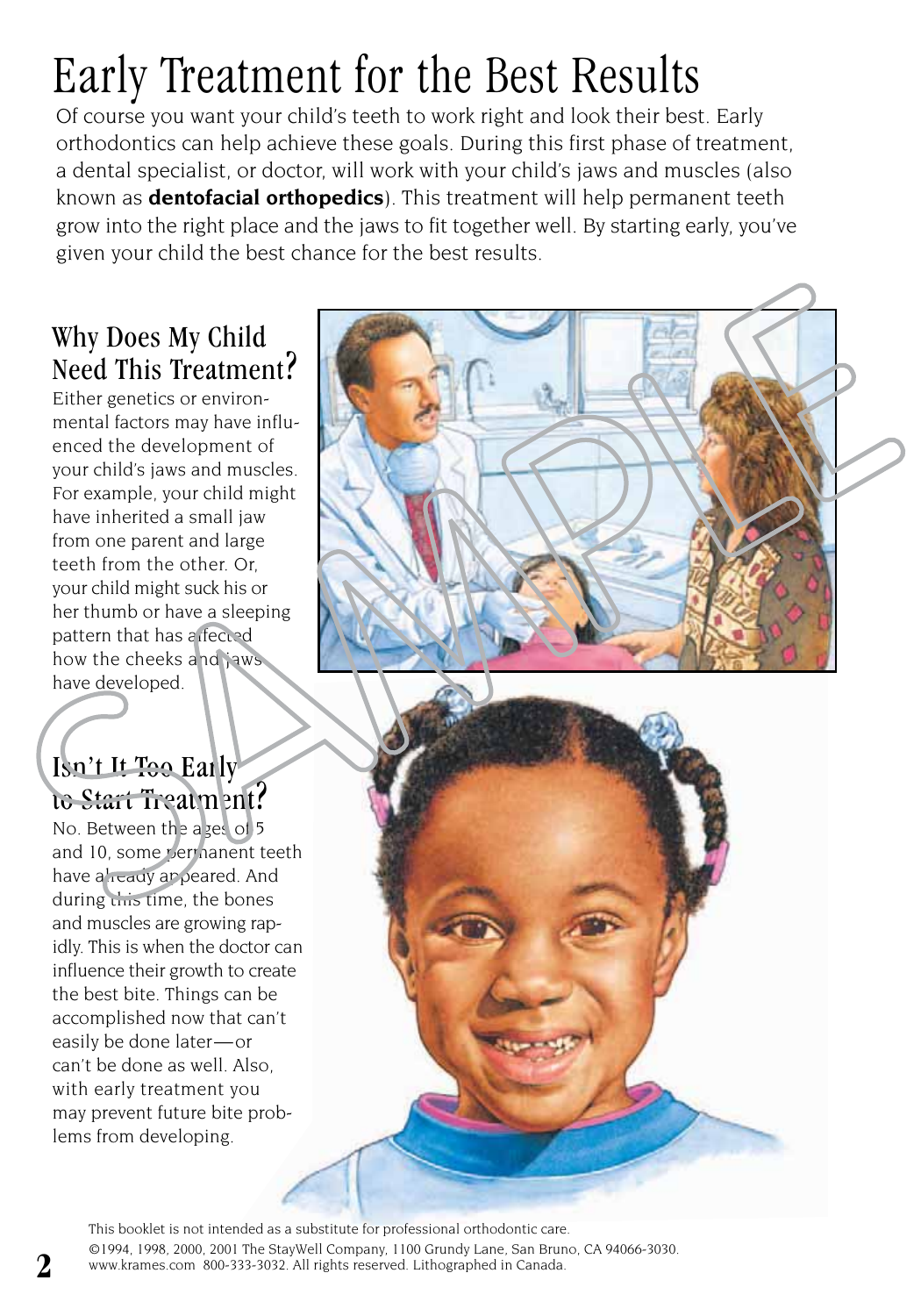## Early Treatment for the Best Results

Of course you want your child's teeth to work right and look their best. Early orthodontics can help achieve these goals. During this first phase of treatment, a dental specialist, or doctor, will work with your child's jaws and muscles (also known as **dentofacial orthopedics**). This treatment will help permanent teeth grow into the right place and the jaws to fit together well. By starting early, you've given your child the best chance for the best results.

#### Why Does My Child Need This Treatment?

Either genetics or environmental factors may have influenced the development of your child's jaws and muscles. For example, your child might have inherited a small jaw from one parent and large teeth from the other. Or, your child might suck his or her thumb or have a sleeping pattern that has a fected how the cheeks and jaws have developed.

#### Isn't It Too Early to Start Treatment?

No. Between the ages of 5 and 10, some vermanent teeth have already appeared. And during this time, the bones and muscles are growing rapidly. This is when the doctor can influence their growth to create the best bite. Things can be accomplished now that can't easily be done later—or can't be done as well. Also, with early treatment you may prevent future bite problems from developing.

> This booklet is not intended as a substitute for professional orthodontic care. ©1994, 1998, 2000, 2001 The StayWell Company, 1100 Grundy Lane, San Bruno, CA 94066-3030. www.krames.com 800-333-3032. All rights reserved. Lithographed in Canada.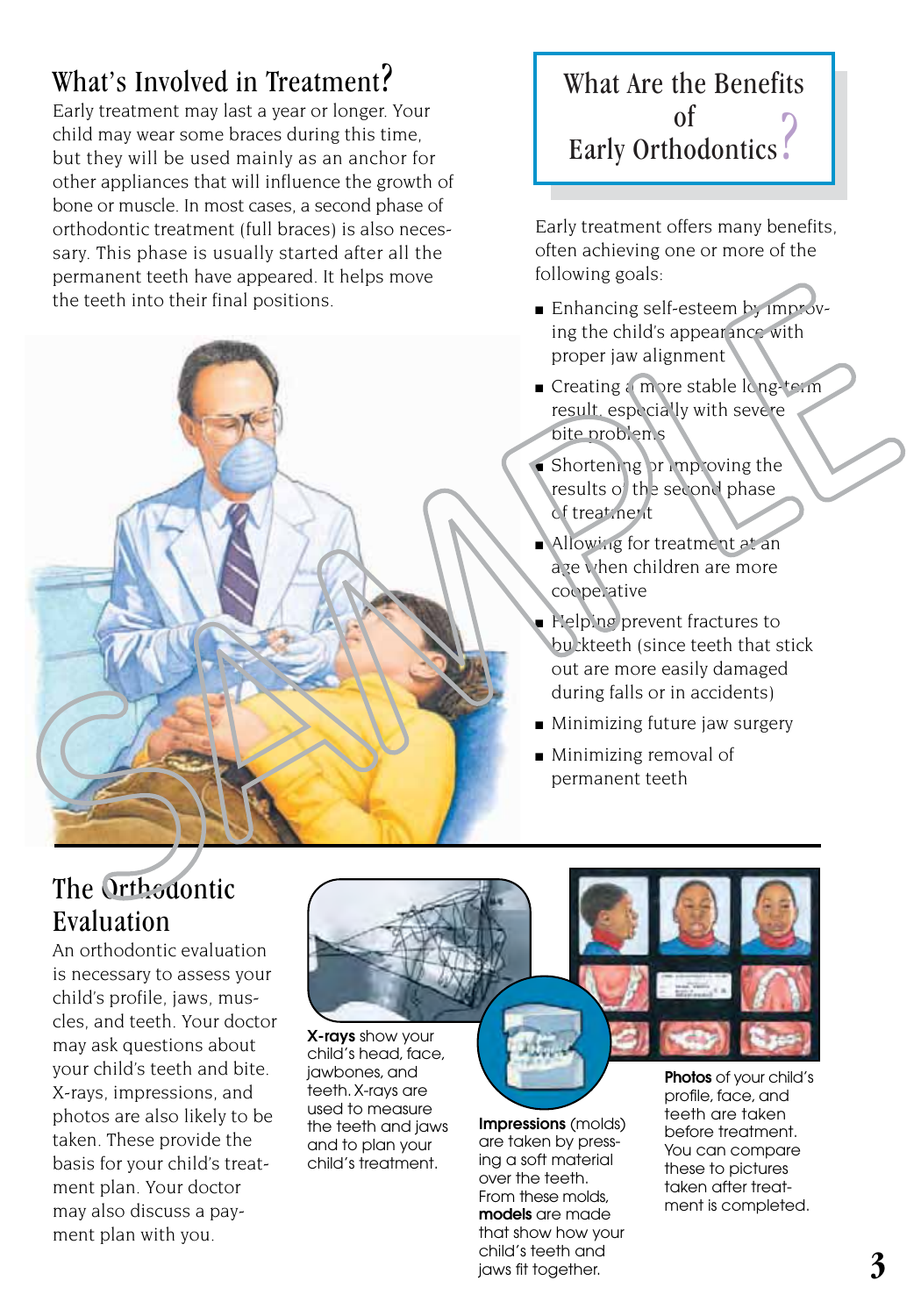#### What's Involved in Treatment?

Early treatment may last a year or longer. Your child may wear some braces during this time, but they will be used mainly as an anchor for other appliances that will influence the growth of bone or muscle. In most cases, a second phase of orthodontic treatment (full braces) is also necessary. This phase is usually started after all the permanent teeth have appeared. It helps move the teeth into their final positions.



#### What Are the Benefits of Early Orthodontics .

Early treatment offers many benefits, often achieving one or more of the following goals:

- Enhancing self-esteem by improving the child's appearance with proper jaw alignment
- Creating a more stable long-term result, especially with severe bite problems
- Shortening or improving the results of the second phase of treatment
- Allowing for treatment at an age when children are more cooperative
- Helping prevent fractures to buckteeth (since teeth that stick out are more easily damaged during falls or in accidents)
- Minimizing future jaw surgery
- Minimizing removal of permanent teeth

#### The Orth<sub>odontic</sub> Evaluation

An orthodontic evaluation is necessary to assess your child's profile, jaws, muscles, and teeth. Your doctor may ask questions about your child's teeth and bite. X-rays, impressions, and photos are also likely to be taken. These provide the basis for your child's treatment plan. Your doctor may also discuss a payment plan with you.



**X-rays** show your child's head, face, jawbones, and teeth. X-rays are used to measure the teeth and jaws and to plan your child's treatment.



**Impressions** (molds) are taken by pressing a soft material over the teeth. From these molds, **models** are made that show how your child's teeth and jaws fit together.

**Photos** of your child's profile, face, and teeth are taken before treatment. You can compare these to pictures taken after treatment is completed.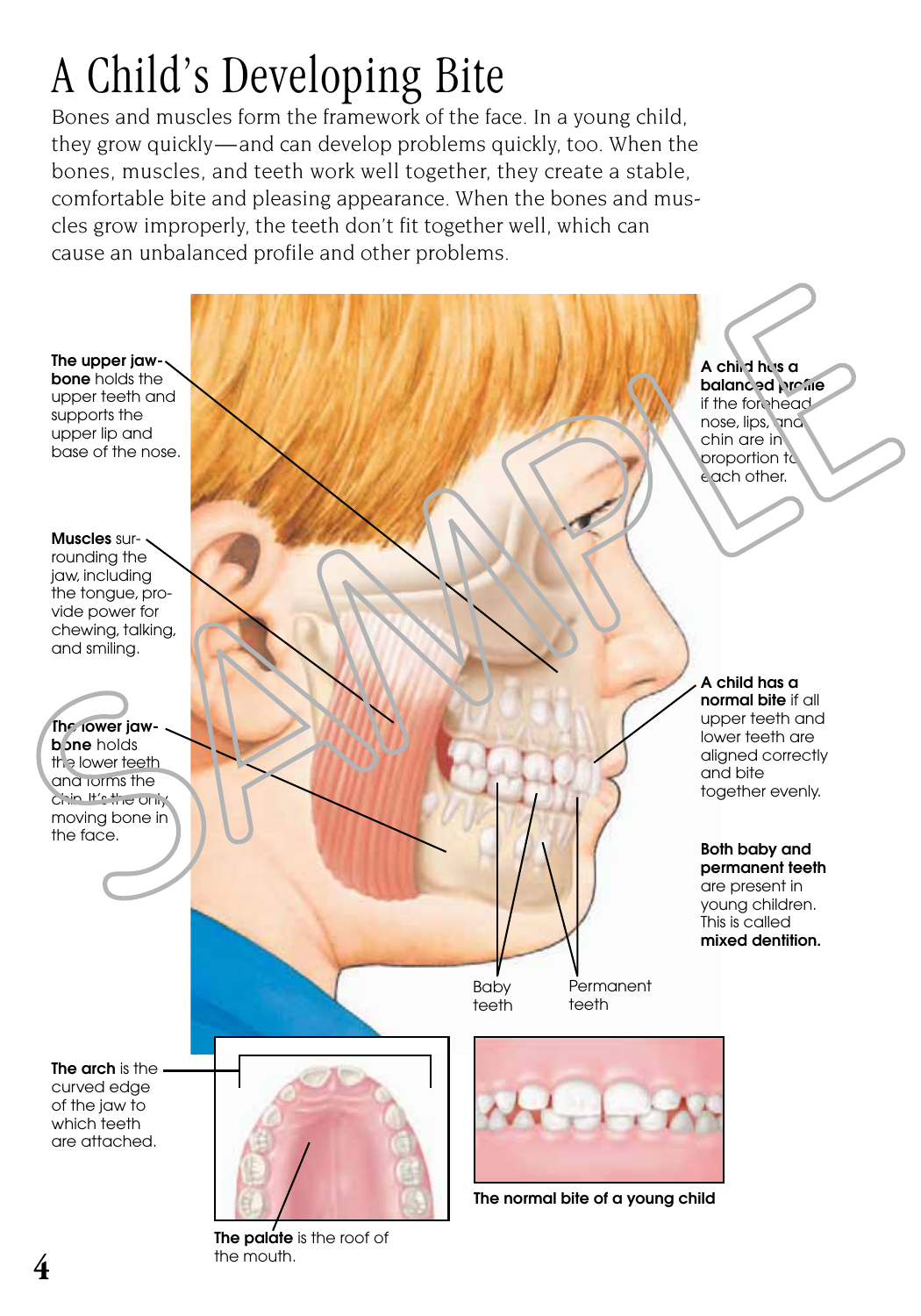## A Child's Developing Bite

Bones and muscles form the framework of the face. In a young child, they grow quickly—and can develop problems quickly, too. When the bones, muscles, and teeth work well together, they create a stable, comfortable bite and pleasing appearance. When the bones and muscles grow improperly, the teeth don't fit together well, which can cause an unbalanced profile and other problems.



**The palate** is the roof of the mouth.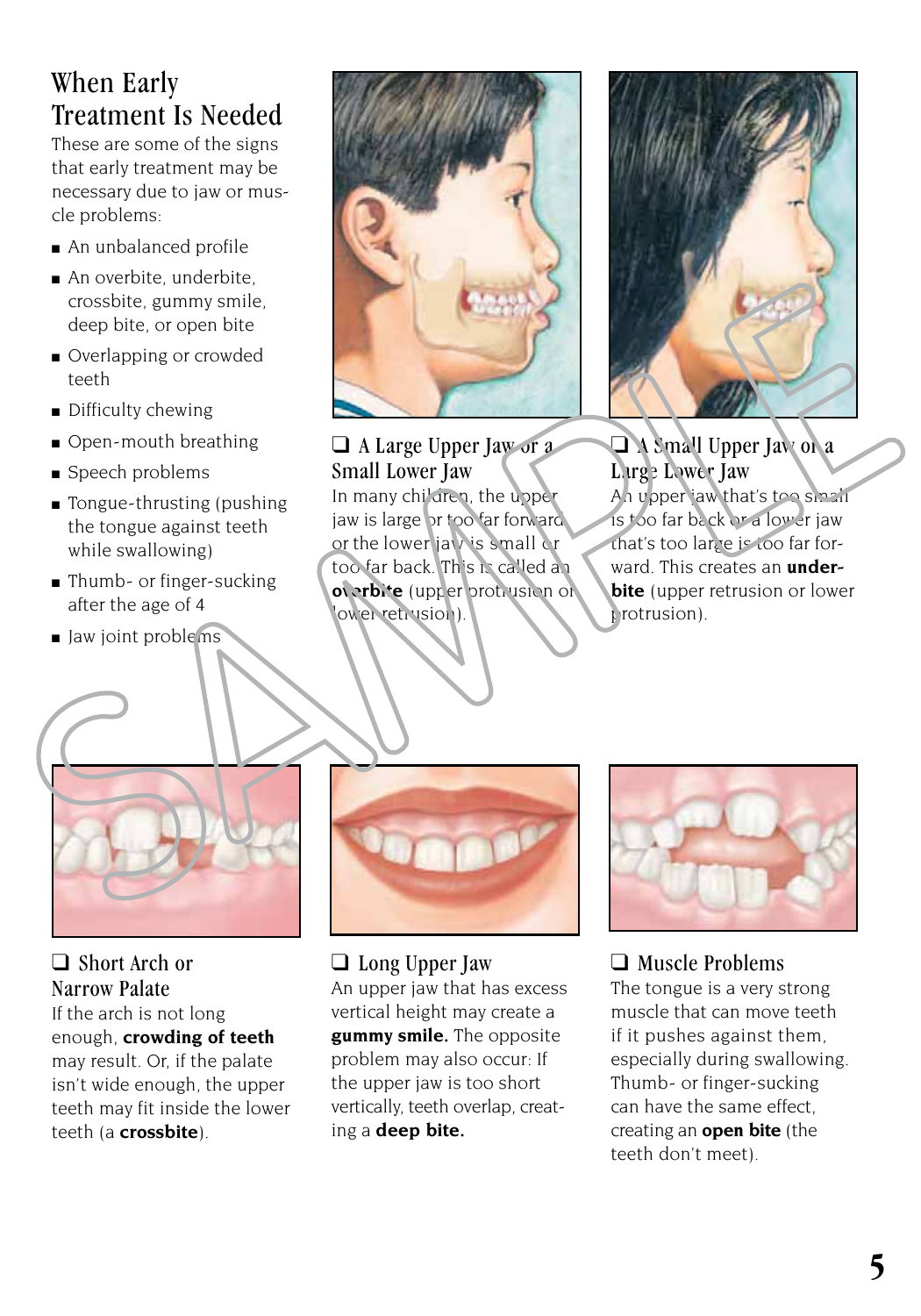#### When Early Treatment Is Needed

These are some of the signs that early treatment may be necessary due to jaw or muscle problems:

- An unbalanced profile
- An overbite, underbite, crossbite, gummy smile, deep bite, or open bite
- Overlapping or crowded teeth
- Difficulty chewing
- Open-mouth breathing
- Speech problems
- Tongue-thrusting (pushing the tongue against teeth while swallowing)
- Thumb- or finger-sucking after the age of 4
- Jaw joint problems



❑ A Large Upper Jaw or a Small Lower Jaw In many children, the upper jaw is large or too far forward or the lower jaw is small or too far back. This is called an **overbite** (upper protrusion or lower retrusion).



❑ A Small Upper Jaw or a Large Lower Jaw An upper jaw that's too small is too far back or a lower jaw that's too large is too far forward. This creates an **underbite** (upper retrusion or lower protrusion).



❑ Short Arch or Narrow Palate If the arch is not long enough, **crowding of teeth** may result. Or, if the palate isn't wide enough, the upper teeth may fit inside the lower teeth (a **crossbite**).



❑ Long Upper Jaw An upper jaw that has excess vertical height may create a **gummy smile.** The opposite problem may also occur: If the upper jaw is too short vertically, teeth overlap, creating a **deep bite.**



#### ❑ Muscle Problems

The tongue is a very strong muscle that can move teeth if it pushes against them, especially during swallowing. Thumb- or finger-sucking can have the same effect, creating an **open bite** (the teeth don't meet).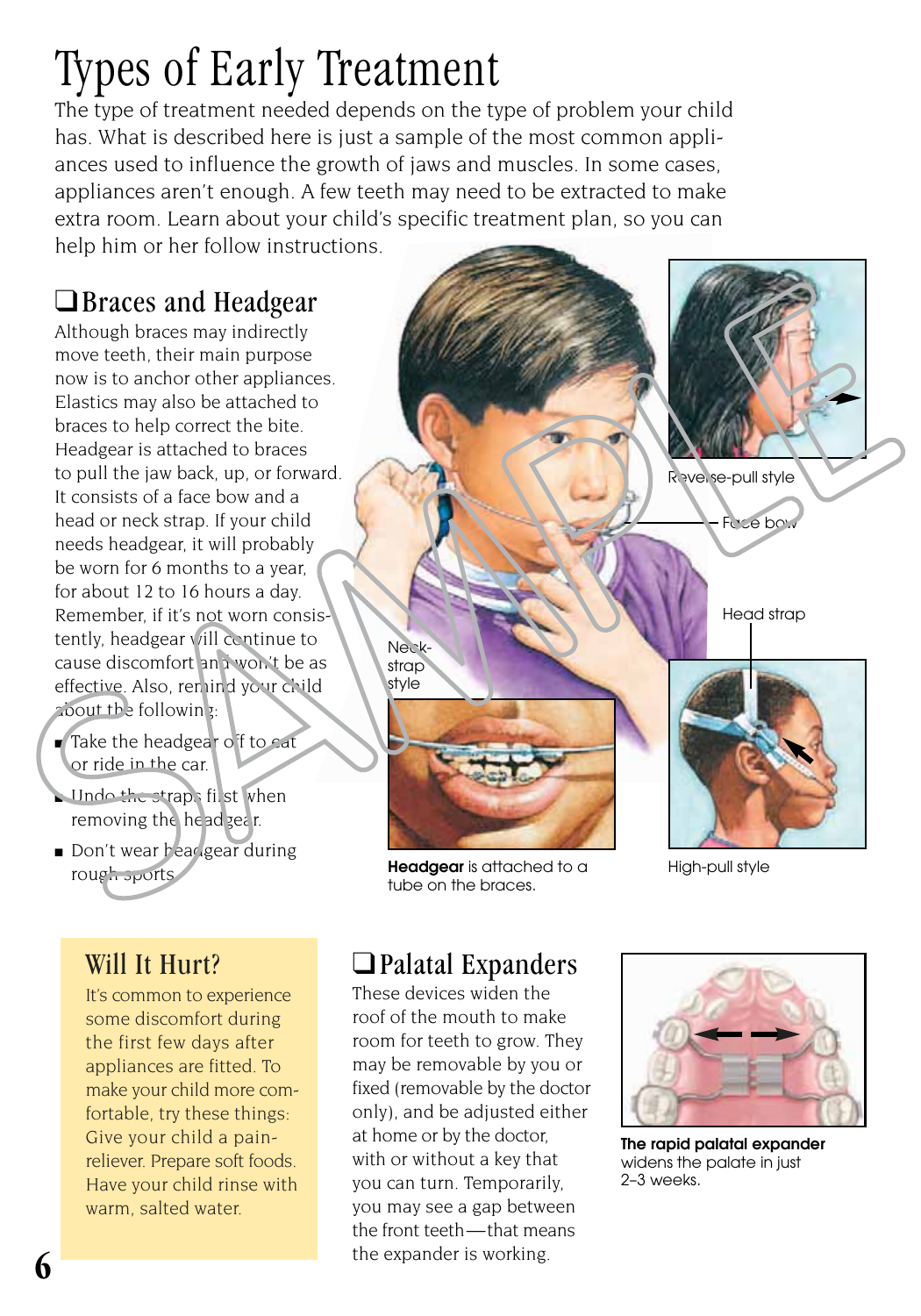### Types of Early Treatment

The type of treatment needed depends on the type of problem your child has. What is described here is just a sample of the most common appliances used to influence the growth of jaws and muscles. In some cases, appliances aren't enough. A few teeth may need to be extracted to make extra room. Learn about your child's specific treatment plan, so you can help him or her follow instructions.

#### ❑Braces and Headgear

Although braces may indirectly move teeth, their main purpose now is to anchor other appliances. Elastics may also be attached to braces to help correct the bite. Headgear is attached to braces to pull the jaw back, up, or forward. It consists of a face bow and a head or neck strap. If your child needs headgear, it will probably be worn for 6 months to a year, for about 12 to 16 hours a day. Remember, if it's not worn consistently, headgear vill continue to cause discomfort and won't be as effective. Also, remind your child about the following:

- Take the headgear of to eat or ride in the car.
- $\blacksquare$  Undo the straps first when removing the head gear.
- Don't wear headgear during rough sports.

#### Will It Hurt?

It's common to experience some discomfort during the first few days after appliances are fitted. To make your child more comfortable, try these things: Give your child a painreliever. Prepare soft foods. Have your child rinse with warm, salted water.



**Headgear** is attached to a tube on the braces.

High-pull style

#### ❑Palatal Expanders

These devices widen the roof of the mouth to make room for teeth to grow. They may be removable by you or fixed (removable by the doctor only), and be adjusted either at home or by the doctor, with or without a key that you can turn. Temporarily, you may see a gap between the front teeth—that means the expander is working.



**The rapid palatal expander** widens the palate in just 2–3 weeks.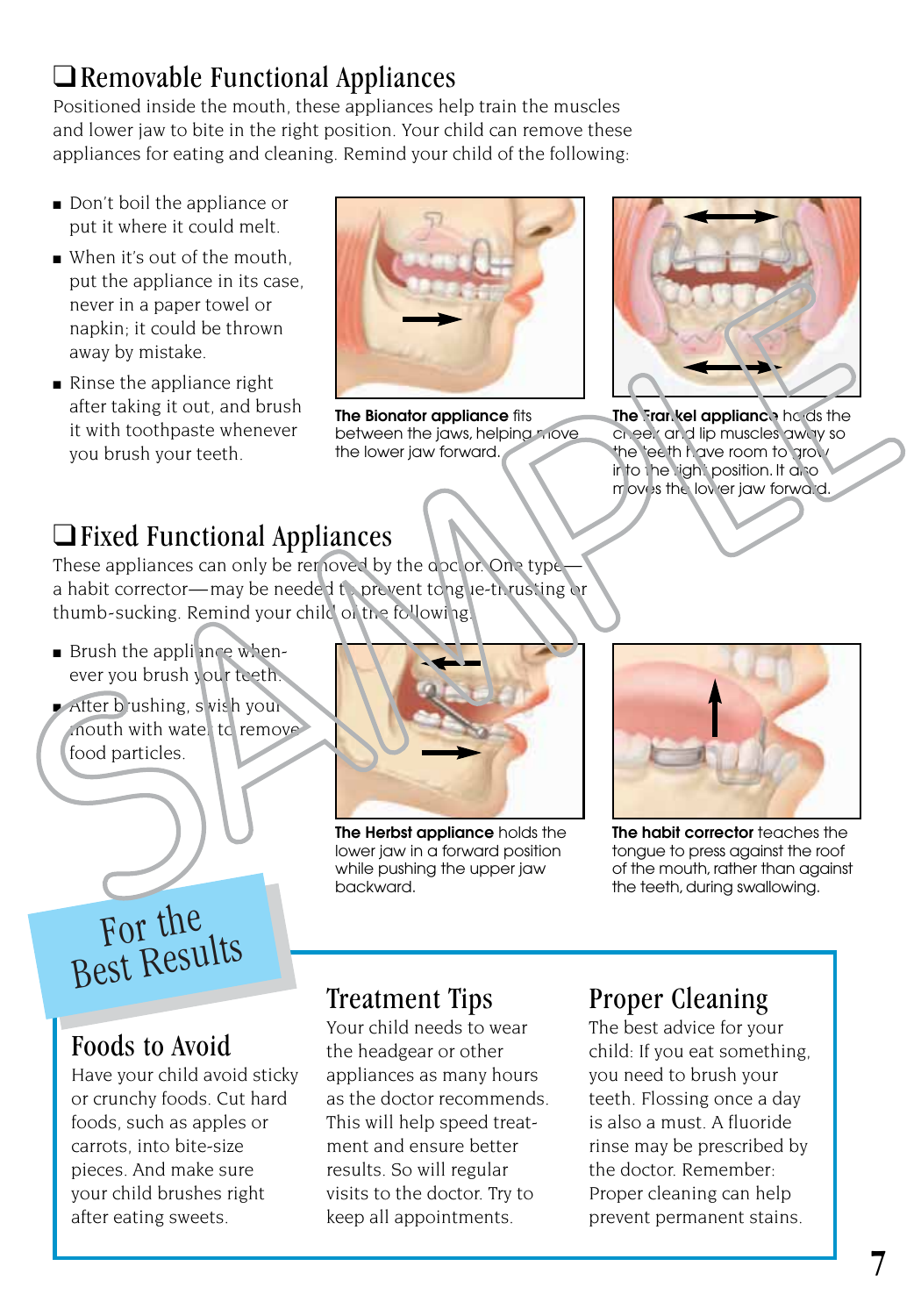#### ❑Removable Functional Appliances

Positioned inside the mouth, these appliances help train the muscles and lower jaw to bite in the right position. Your child can remove these appliances for eating and cleaning. Remind your child of the following:

- Don't boil the appliance or put it where it could melt.
- When it's out of the mouth, put the appliance in its case, never in a paper towel or napkin; it could be thrown away by mistake.
- Rinse the appliance right after taking it out, and brush it with toothpaste whenever you brush your teeth.



**The Bionator appliance** fits between the jaws, helping move the lower jaw forward.



**The Frankel appliance** he ds the cheek and lip muscles away so the teeth have room to grow in to the right position. It also moves the lower jaw forward.

#### ❑Fixed Functional Appliances

These appliances can only be removed by the doctor. One type a habit corrector—may be needed to prevent tongue-thrusting or thumb-sucking. Remind your child of the following!

- Brush the appliance whenever you brush your teeth.
- $\blacktriangleright$  After brushing, swish your  $m$ outh with wate, to remove food particles.



**The Herbst appliance** holds the lower jaw in a forward position while pushing the upper jaw backward.



**The habit corrector** teaches the tongue to press against the roof of the mouth, rather than against the teeth, during swallowing.

### For the Best Results

#### Foods to Avoid

Have your child avoid sticky or crunchy foods. Cut hard foods, such as apples or carrots, into bite-size pieces. And make sure your child brushes right after eating sweets.

#### Treatment Tips

Your child needs to wear the headgear or other appliances as many hours as the doctor recommends. This will help speed treatment and ensure better results. So will regular visits to the doctor. Try to keep all appointments.

#### Proper Cleaning

The best advice for your child: If you eat something, you need to brush your teeth. Flossing once a day is also a must. A fluoride rinse may be prescribed by the doctor. Remember: Proper cleaning can help prevent permanent stains.